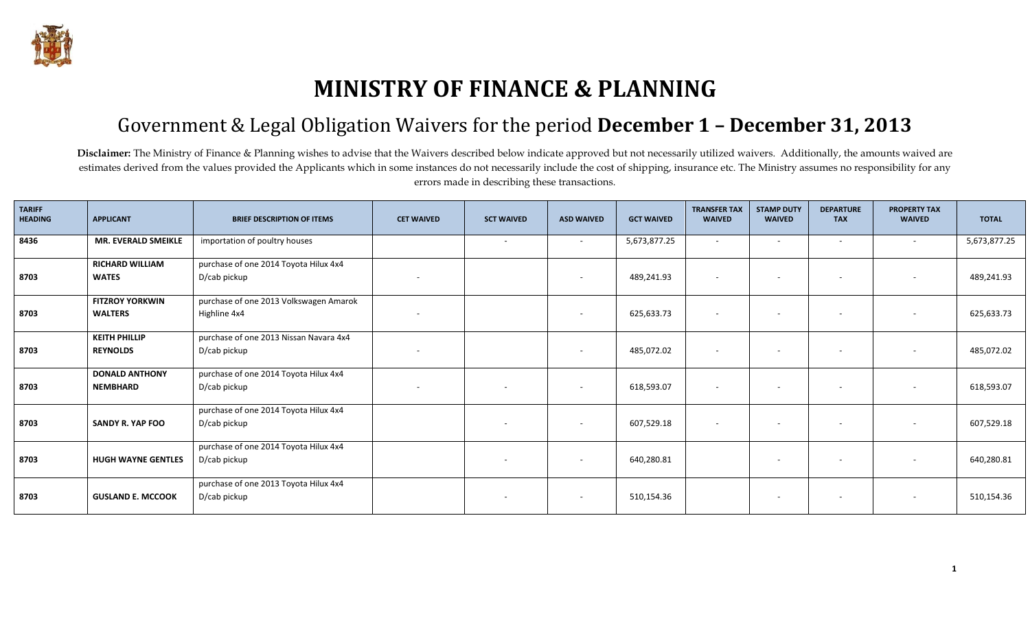

## **MINISTRY OF FINANCE & PLANNING**

## Government & Legal Obligation Waivers for the period **December 1 – December 31, 2013**

Disclaimer: The Ministry of Finance & Planning wishes to advise that the Waivers described below indicate approved but not necessarily utilized waivers. Additionally, the amounts waived are estimates derived from the values provided the Applicants which in some instances do not necessarily include the cost of shipping, insurance etc. The Ministry assumes no responsibility for any errors made in describing these transactions.

| <b>TARIFF</b><br><b>HEADING</b> | <b>APPLICANT</b>          | <b>BRIEF DESCRIPTION OF ITEMS</b>      | <b>CET WAIVED</b>        | <b>SCT WAIVED</b>        | <b>ASD WAIVED</b> | <b>GCT WAIVED</b> | <b>TRANSFER TAX</b><br><b>WAIVED</b> | <b>STAMP DUTY</b><br><b>WAIVED</b> | <b>DEPARTURE</b><br><b>TAX</b> | <b>PROPERTY TAX</b><br><b>WAIVED</b> | <b>TOTAL</b> |
|---------------------------------|---------------------------|----------------------------------------|--------------------------|--------------------------|-------------------|-------------------|--------------------------------------|------------------------------------|--------------------------------|--------------------------------------|--------------|
| 8436                            | MR. EVERALD SMEIKLE       | importation of poultry houses          |                          | $\sim$                   | $\sim$            | 5,673,877.25      | $\sim$                               | $\sim$                             |                                |                                      | 5,673,877.25 |
|                                 | <b>RICHARD WILLIAM</b>    | purchase of one 2014 Toyota Hilux 4x4  |                          |                          |                   |                   |                                      |                                    |                                |                                      |              |
| 8703                            | <b>WATES</b>              | D/cab pickup                           |                          |                          | $\sim$            | 489,241.93        | $\sim$                               | $\sim$                             |                                |                                      | 489,241.93   |
|                                 | <b>FITZROY YORKWIN</b>    | purchase of one 2013 Volkswagen Amarok |                          |                          |                   |                   |                                      |                                    |                                |                                      |              |
| 8703                            | <b>WALTERS</b>            | Highline 4x4                           | $\overline{\phantom{a}}$ |                          | $\sim$            | 625,633.73        | $\overline{\phantom{a}}$             | $\sim$                             | $\sim$                         |                                      | 625,633.73   |
|                                 | <b>KEITH PHILLIP</b>      | purchase of one 2013 Nissan Navara 4x4 |                          |                          |                   |                   |                                      |                                    |                                |                                      |              |
| 8703                            | <b>REYNOLDS</b>           | D/cab pickup                           |                          |                          | $\sim$            | 485,072.02        | $\sim$                               | $\sim$                             |                                |                                      | 485,072.02   |
|                                 | <b>DONALD ANTHONY</b>     | purchase of one 2014 Toyota Hilux 4x4  |                          |                          |                   |                   |                                      |                                    |                                |                                      |              |
| 8703                            | <b>NEMBHARD</b>           | D/cab pickup                           | $\sim$                   |                          |                   | 618,593.07        | $\overline{\phantom{a}}$             | $\overline{\phantom{a}}$           |                                |                                      | 618,593.07   |
|                                 |                           | purchase of one 2014 Toyota Hilux 4x4  |                          |                          |                   |                   |                                      |                                    |                                |                                      |              |
| 8703                            | <b>SANDY R. YAP FOO</b>   | D/cab pickup                           |                          | $\overline{\phantom{a}}$ | $\sim$            | 607,529.18        | $\sim$                               | $\sim$                             |                                |                                      | 607,529.18   |
|                                 |                           | purchase of one 2014 Toyota Hilux 4x4  |                          |                          |                   |                   |                                      |                                    |                                |                                      |              |
| 8703                            | <b>HUGH WAYNE GENTLES</b> | D/cab pickup                           |                          | $\sim$                   | ۰                 | 640,280.81        |                                      | $\sim$                             | $\sim$                         |                                      | 640,280.81   |
|                                 |                           | purchase of one 2013 Toyota Hilux 4x4  |                          |                          |                   |                   |                                      |                                    |                                |                                      |              |
| 8703                            | <b>GUSLAND E. MCCOOK</b>  | D/cab pickup                           |                          |                          | $\sim$            | 510,154.36        |                                      | $\overline{\phantom{a}}$           |                                |                                      | 510,154.36   |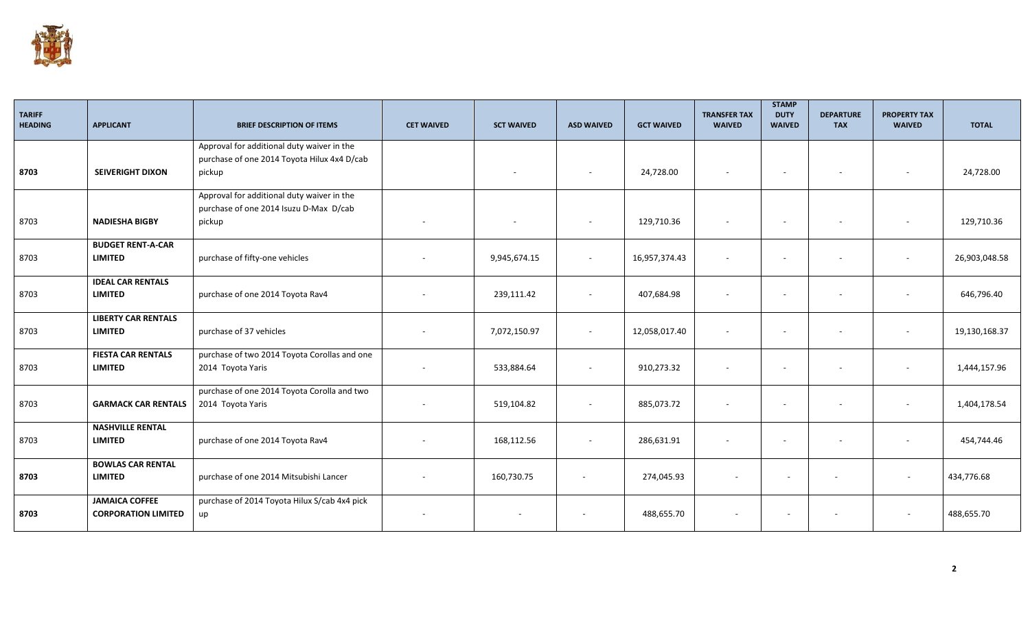

| <b>TARIFF</b><br><b>HEADING</b> | <b>APPLICANT</b>                                    | <b>BRIEF DESCRIPTION OF ITEMS</b>                                                                   | <b>CET WAIVED</b>        | <b>SCT WAIVED</b> | <b>ASD WAIVED</b> | <b>GCT WAIVED</b> | <b>TRANSFER TAX</b><br><b>WAIVED</b> | <b>STAMP</b><br><b>DUTY</b><br><b>WAIVED</b> | <b>DEPARTURE</b><br><b>TAX</b> | <b>PROPERTY TAX</b><br><b>WAIVED</b> | <b>TOTAL</b>  |
|---------------------------------|-----------------------------------------------------|-----------------------------------------------------------------------------------------------------|--------------------------|-------------------|-------------------|-------------------|--------------------------------------|----------------------------------------------|--------------------------------|--------------------------------------|---------------|
| 8703                            | <b>SEIVERIGHT DIXON</b>                             | Approval for additional duty waiver in the<br>purchase of one 2014 Toyota Hilux 4x4 D/cab<br>pickup |                          |                   |                   | 24,728.00         |                                      | $\overline{\phantom{a}}$                     |                                | $\overline{\phantom{a}}$             | 24,728.00     |
| 8703                            | <b>NADIESHA BIGBY</b>                               | Approval for additional duty waiver in the<br>purchase of one 2014 Isuzu D-Max D/cab<br>pickup      | $\sim$                   | $\sim$            | $\sim$            | 129,710.36        |                                      | $\sim$                                       | $\sim$                         | $\overline{\phantom{a}}$             | 129,710.36    |
| 8703                            | <b>BUDGET RENT-A-CAR</b><br><b>LIMITED</b>          | purchase of fifty-one vehicles                                                                      |                          | 9,945,674.15      | $\sim$            | 16,957,374.43     |                                      | $\overline{a}$                               | $\overline{\phantom{a}}$       | $\sim$                               | 26,903,048.58 |
| 8703                            | <b>IDEAL CAR RENTALS</b><br><b>LIMITED</b>          | purchase of one 2014 Toyota Rav4                                                                    |                          | 239,111.42        | $\sim$            | 407,684.98        |                                      | $\overline{\phantom{a}}$                     | $\overline{\phantom{a}}$       | $\blacksquare$                       | 646,796.40    |
| 8703                            | <b>LIBERTY CAR RENTALS</b><br><b>LIMITED</b>        | purchase of 37 vehicles                                                                             |                          | 7,072,150.97      | $\sim$            | 12,058,017.40     |                                      | $\overline{a}$                               | $\overline{\phantom{a}}$       | $\blacksquare$                       | 19,130,168.37 |
| 8703                            | <b>FIESTA CAR RENTALS</b><br><b>LIMITED</b>         | purchase of two 2014 Toyota Corollas and one<br>2014 Toyota Yaris                                   | $\overline{\phantom{a}}$ | 533,884.64        | $\sim$            | 910,273.32        |                                      | $\overline{\phantom{a}}$                     | $\overline{\phantom{a}}$       | ٠                                    | 1,444,157.96  |
| 8703                            | <b>GARMACK CAR RENTALS</b>                          | purchase of one 2014 Toyota Corolla and two<br>2014 Toyota Yaris                                    | $\overline{a}$           | 519,104.82        | $\sim$            | 885,073.72        |                                      | $\sim$                                       | $\overline{\phantom{a}}$       | $\sim$                               | 1,404,178.54  |
| 8703                            | <b>NASHVILLE RENTAL</b><br><b>LIMITED</b>           | purchase of one 2014 Toyota Rav4                                                                    | $\overline{\phantom{a}}$ | 168,112.56        | $\sim$            | 286,631.91        |                                      | $\sim$                                       | $\sim$                         | $\overline{\phantom{a}}$             | 454,744.46    |
| 8703                            | <b>BOWLAS CAR RENTAL</b><br><b>LIMITED</b>          | purchase of one 2014 Mitsubishi Lancer                                                              |                          | 160,730.75        |                   | 274,045.93        |                                      |                                              |                                | $\sim$                               | 434,776.68    |
| 8703                            | <b>JAMAICA COFFEE</b><br><b>CORPORATION LIMITED</b> | purchase of 2014 Toyota Hilux S/cab 4x4 pick<br>up                                                  |                          |                   |                   | 488,655.70        |                                      |                                              |                                | $\overline{\phantom{a}}$             | 488,655.70    |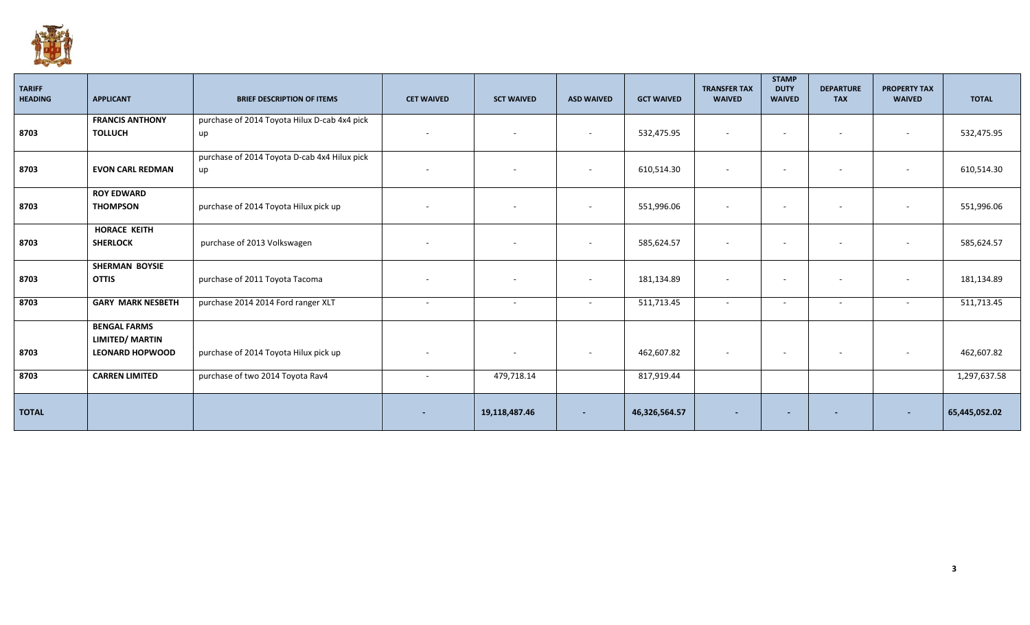

| <b>TARIFF</b><br><b>HEADING</b> | <b>APPLICANT</b>         | <b>BRIEF DESCRIPTION OF ITEMS</b>            | <b>CET WAIVED</b>        | <b>SCT WAIVED</b>        | <b>ASD WAIVED</b> | <b>GCT WAIVED</b> | <b>TRANSFER TAX</b><br><b>WAIVED</b> | <b>STAMP</b><br><b>DUTY</b><br><b>WAIVED</b> | <b>DEPARTURE</b><br><b>TAX</b> | <b>PROPERTY TAX</b><br><b>WAIVED</b> | <b>TOTAL</b>  |
|---------------------------------|--------------------------|----------------------------------------------|--------------------------|--------------------------|-------------------|-------------------|--------------------------------------|----------------------------------------------|--------------------------------|--------------------------------------|---------------|
|                                 | <b>FRANCIS ANTHONY</b>   | purchase of 2014 Toyota Hilux D-cab 4x4 pick |                          |                          |                   |                   |                                      |                                              |                                |                                      |               |
| 8703                            | <b>TOLLUCH</b>           | up                                           | $\overline{\phantom{a}}$ | $\overline{\phantom{a}}$ | $\sim$            | 532,475.95        |                                      | $\overline{\phantom{a}}$                     | $\sim$                         | $\sim$                               | 532,475.95    |
|                                 |                          | purchase of 2014 Toyota D-cab 4x4 Hilux pick |                          |                          |                   |                   |                                      |                                              |                                |                                      |               |
| 8703                            | <b>EVON CARL REDMAN</b>  | up                                           | $\overline{\phantom{a}}$ |                          |                   | 610,514.30        |                                      | $\overline{a}$                               | $\overline{\phantom{a}}$       | $\sim$                               | 610,514.30    |
|                                 | <b>ROY EDWARD</b>        |                                              |                          |                          |                   |                   |                                      |                                              |                                |                                      |               |
| 8703                            | <b>THOMPSON</b>          | purchase of 2014 Toyota Hilux pick up        | $\overline{\phantom{a}}$ |                          |                   | 551,996.06        |                                      | $\sim$                                       | $\sim$                         | $\sim$                               | 551,996.06    |
|                                 | <b>HORACE KEITH</b>      |                                              |                          |                          |                   |                   |                                      |                                              |                                |                                      |               |
| 8703                            | <b>SHERLOCK</b>          | purchase of 2013 Volkswagen                  | $\overline{\phantom{a}}$ | $\overline{\phantom{a}}$ | $\sim$            | 585,624.57        |                                      | $\overline{\phantom{a}}$                     | $\sim$                         | $\sim$                               | 585,624.57    |
|                                 | <b>SHERMAN BOYSIE</b>    |                                              |                          |                          |                   |                   |                                      |                                              |                                |                                      |               |
| 8703                            | <b>OTTIS</b>             | purchase of 2011 Toyota Tacoma               | $\overline{\phantom{a}}$ | $\overline{\phantom{a}}$ |                   | 181,134.89        |                                      | $\overline{\phantom{a}}$                     | $\sim$                         | $\sim$                               | 181,134.89    |
| 8703                            | <b>GARY MARK NESBETH</b> | purchase 2014 2014 Ford ranger XLT           | $\sim$                   | $\overline{\phantom{a}}$ | $\sim$            | 511,713.45        |                                      | $\sim$                                       | $\sim$                         | $\sim$                               | 511,713.45    |
|                                 | <b>BENGAL FARMS</b>      |                                              |                          |                          |                   |                   |                                      |                                              |                                |                                      |               |
|                                 | <b>LIMITED/ MARTIN</b>   |                                              |                          |                          |                   |                   |                                      |                                              |                                |                                      |               |
| 8703                            | <b>LEONARD HOPWOOD</b>   | purchase of 2014 Toyota Hilux pick up        | $\overline{\phantom{a}}$ | $\overline{\phantom{a}}$ | $\sim$            | 462,607.82        | $\sim$                               | $-$                                          | $\sim$                         | $\sim$                               | 462,607.82    |
| 8703                            | <b>CARREN LIMITED</b>    | purchase of two 2014 Toyota Rav4             | $\overline{\phantom{a}}$ | 479,718.14               |                   | 817,919.44        |                                      |                                              |                                |                                      | 1,297,637.58  |
| <b>TOTAL</b>                    |                          |                                              | $\overline{\phantom{a}}$ | 19,118,487.46            | $\sim$            | 46,326,564.57     |                                      | $\overline{\phantom{a}}$                     |                                | $\sim$                               | 65,445,052.02 |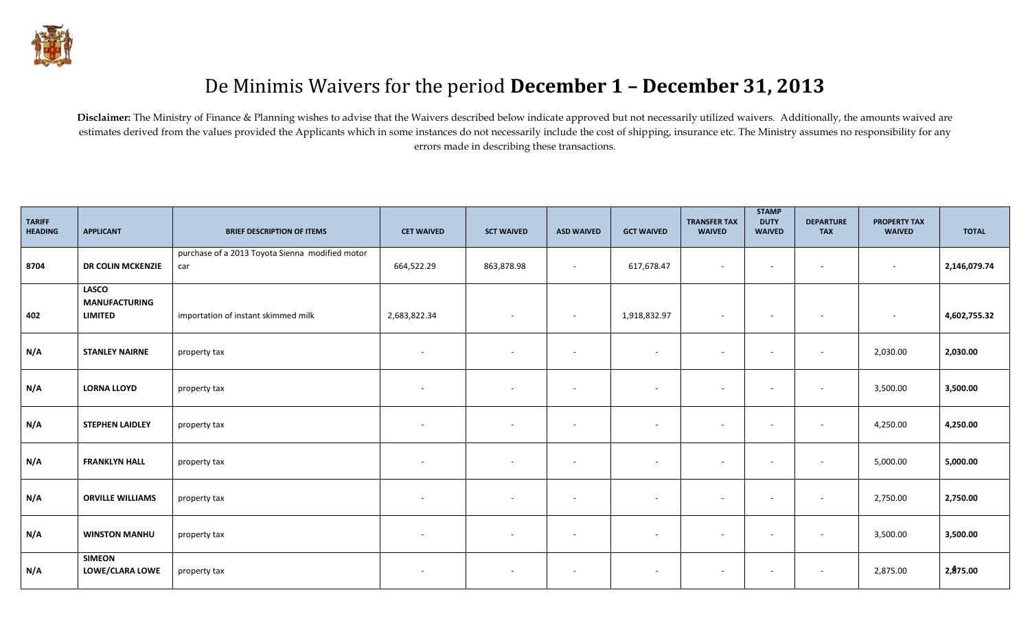

## De Minimis Waivers for the period **December 1 – December 31, 2013**

Disclaimer: The Ministry of Finance & Planning wishes to advise that the Waivers described below indicate approved but not necessarily utilized waivers. Additionally, the amounts waived are estimates derived from the values provided the Applicants which in some instances do not necessarily include the cost of shipping, insurance etc. The Ministry assumes no responsibility for any errors made in describing these transactions.

| <b>TARIFF</b><br><b>HEADING</b> | <b>APPLICANT</b>                                       | <b>BRIEF DESCRIPTION OF ITEMS</b>                      | <b>CET WAIVED</b>        | <b>SCT WAIVED</b>        | <b>ASD WAIVED</b>        | <b>GCT WAIVED</b>        | <b>TRANSFER TAX</b><br><b>WAIVED</b> | <b>STAMP</b><br><b>DUTY</b><br><b>WAIVED</b> | <b>DEPARTURE</b><br><b>TAX</b> | <b>PROPERTY TAX</b><br><b>WAIVED</b> | <b>TOTAL</b> |
|---------------------------------|--------------------------------------------------------|--------------------------------------------------------|--------------------------|--------------------------|--------------------------|--------------------------|--------------------------------------|----------------------------------------------|--------------------------------|--------------------------------------|--------------|
| 8704                            | DR COLIN MCKENZIE                                      | purchase of a 2013 Toyota Sienna modified motor<br>car | 664,522.29               | 863,878.98               | $\overline{\phantom{a}}$ | 617,678.47               | $\sim$                               | $\sim$                                       | $\sim$                         | $\sim$                               | 2,146,079.74 |
| 402                             | <b>LASCO</b><br><b>MANUFACTURING</b><br><b>LIMITED</b> | importation of instant skimmed milk                    | 2,683,822.34             | $\overline{\phantom{a}}$ | $\overline{\phantom{a}}$ | 1,918,832.97             | $\sim$                               | $\sim$                                       | $\sim$                         | $\sim$                               | 4,602,755.32 |
| N/A                             | <b>STANLEY NAIRNE</b>                                  | property tax                                           | $\overline{a}$           |                          | $\overline{\phantom{a}}$ | ٠                        | $\sim$                               | $\overline{\phantom{a}}$                     | $\overline{\phantom{a}}$       | 2,030.00                             | 2,030.00     |
| N/A                             | <b>LORNA LLOYD</b>                                     | property tax                                           | $\overline{\phantom{a}}$ | $\sim$                   | $\overline{\phantom{a}}$ | $\sim$                   | $\sim$                               | $\sim$                                       | $\sim$                         | 3,500.00                             | 3,500.00     |
| N/A                             | <b>STEPHEN LAIDLEY</b>                                 | property tax                                           | $\overline{\phantom{a}}$ | $\sim$                   | $\overline{\phantom{a}}$ | $\sim$                   | $\sim$                               | $\sim$                                       | $\sim$                         | 4,250.00                             | 4,250.00     |
| N/A                             | <b>FRANKLYN HALL</b>                                   | property tax                                           | $\overline{\phantom{a}}$ | $\overline{\phantom{a}}$ | $\overline{\phantom{a}}$ | $\overline{\phantom{a}}$ | $\overline{\phantom{a}}$             | $\overline{\phantom{a}}$                     | $\overline{\phantom{a}}$       | 5,000.00                             | 5,000.00     |
| N/A                             | <b>ORVILLE WILLIAMS</b>                                | property tax                                           | $\overline{\phantom{a}}$ | $\sim$                   | $\overline{\phantom{a}}$ | $\sim$                   | $\sim$                               | $\sim$                                       | $\sim$                         | 2,750.00                             | 2,750.00     |
| N/A                             | <b>WINSTON MANHU</b>                                   | property tax                                           | $\overline{\phantom{a}}$ | $\sim$                   | $\overline{\phantom{a}}$ | $\sim$                   | $\sim$                               | $\sim$                                       | $\sim$                         | 3,500.00                             | 3,500.00     |
| N/A                             | <b>SIMEON</b><br>LOWE/CLARA LOWE                       | property tax                                           | $\overline{\phantom{a}}$ | $\overline{\phantom{a}}$ | $\overline{\phantom{a}}$ | $\sim$                   | $\sim$                               | $\sim$                                       | $\sim$                         | 2,875.00                             | 2,875.00     |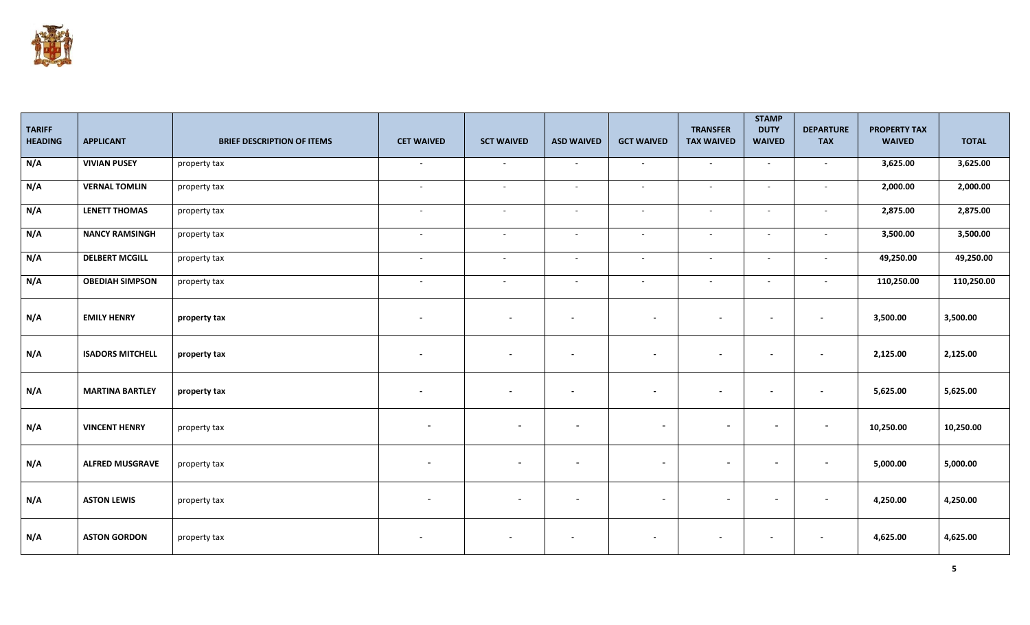

| <b>TARIFF</b><br><b>HEADING</b> | <b>APPLICANT</b>        | <b>BRIEF DESCRIPTION OF ITEMS</b> | <b>CET WAIVED</b>        | <b>SCT WAIVED</b>        | <b>ASD WAIVED</b>        | <b>GCT WAIVED</b>        | <b>TRANSFER</b><br><b>TAX WAIVED</b> | <b>STAMP</b><br><b>DUTY</b><br><b>WAIVED</b> | <b>DEPARTURE</b><br><b>TAX</b> | <b>PROPERTY TAX</b><br><b>WAIVED</b> | <b>TOTAL</b> |
|---------------------------------|-------------------------|-----------------------------------|--------------------------|--------------------------|--------------------------|--------------------------|--------------------------------------|----------------------------------------------|--------------------------------|--------------------------------------|--------------|
| N/A                             | <b>VIVIAN PUSEY</b>     | property tax                      | $\sim$                   | $\sim$                   | $\sim$                   | $\overline{\phantom{a}}$ | $\sim$                               | $\sim$                                       | $\overline{a}$                 | 3,625.00                             | 3,625.00     |
| N/A                             | <b>VERNAL TOMLIN</b>    | property tax                      | $\sim$                   | $\sim$                   | $\sim$                   | $\overline{\phantom{a}}$ | $\sim$                               | $\sim$                                       | $\overline{a}$                 | 2,000.00                             | 2,000.00     |
| N/A                             | <b>LENETT THOMAS</b>    | property tax                      | $\sim$                   | $\sim$                   | $\sim$                   | $\sim$                   | $\sim$                               | $\sim$                                       | $\overline{a}$                 | 2,875.00                             | 2,875.00     |
| N/A                             | <b>NANCY RAMSINGH</b>   | property tax                      | $\sim$                   | $\sim$                   | $\sim$                   | $\blacksquare$           | $\sim$                               | $\sim$                                       | $\sim$                         | 3,500.00                             | 3,500.00     |
| N/A                             | <b>DELBERT MCGILL</b>   | property tax                      | $\sim$                   | $\sim$                   | $\sim$                   | $\blacksquare$           | $\sim$                               | $\sim$                                       | $\sim$                         | 49,250.00                            | 49,250.00    |
| N/A                             | <b>OBEDIAH SIMPSON</b>  | property tax                      | $\sim$                   | $\sim$                   | $\sim$                   | ÷.                       | $\sim$                               | $\sim$                                       | $\overline{a}$                 | 110,250.00                           | 110,250.00   |
| N/A                             | <b>EMILY HENRY</b>      | property tax                      | $\overline{\phantom{a}}$ | $\blacksquare$           | $\overline{\phantom{a}}$ | $\blacksquare$           | $\sim$                               | $\overline{\phantom{a}}$                     | $\blacksquare$                 | 3,500.00                             | 3,500.00     |
| N/A                             | <b>ISADORS MITCHELL</b> | property tax                      | $\overline{\phantom{a}}$ | $\overline{\phantom{a}}$ | $\overline{\phantom{a}}$ | $\overline{\phantom{a}}$ | $\sim$                               | $\overline{\phantom{a}}$                     | $\overline{\phantom{a}}$       | 2,125.00                             | 2,125.00     |
| N/A                             | <b>MARTINA BARTLEY</b>  | property tax                      | $\overline{\phantom{a}}$ | $\overline{\phantom{a}}$ | $\overline{\phantom{a}}$ | $\sim$                   | $\sim$                               | $\overline{\phantom{a}}$                     | $\overline{\phantom{a}}$       | 5,625.00                             | 5,625.00     |
| N/A                             | <b>VINCENT HENRY</b>    | property tax                      | $\overline{\phantom{a}}$ | $\overline{\phantom{a}}$ | $\overline{\phantom{a}}$ | $\sim$                   | $\overline{\phantom{a}}$             | $\overline{\phantom{0}}$                     | $\overline{\phantom{a}}$       | 10,250.00                            | 10,250.00    |
| N/A                             | <b>ALFRED MUSGRAVE</b>  | property tax                      | $\overline{\phantom{a}}$ | $\overline{\phantom{a}}$ | $\overline{\phantom{a}}$ | $\overline{\phantom{a}}$ | $\overline{\phantom{a}}$             | $\overline{\phantom{0}}$                     | $\overline{\phantom{a}}$       | 5,000.00                             | 5,000.00     |
| N/A                             | <b>ASTON LEWIS</b>      | property tax                      | $\overline{\phantom{a}}$ | $\overline{\phantom{a}}$ | $\overline{\phantom{a}}$ | $\overline{\phantom{a}}$ | $\overline{\phantom{a}}$             | $\sim$                                       | $\overline{\phantom{a}}$       | 4,250.00                             | 4,250.00     |
| N/A                             | <b>ASTON GORDON</b>     | property tax                      |                          |                          |                          | $\overline{\phantom{a}}$ |                                      |                                              |                                | 4,625.00                             | 4,625.00     |